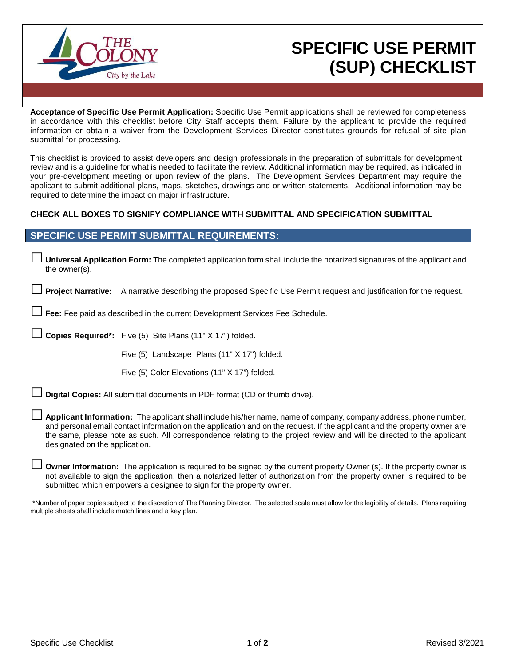

## **SPECIFIC USE PERMIT (SUP) CHECKLIST**

**Acceptance of Specific Use Permit Application:** Specific Use Permit applications shall be reviewed for completeness in accordance with this checklist before City Staff accepts them. Failure by the applicant to provide the required information or obtain a waiver from the Development Services Director constitutes grounds for refusal of site plan submittal for processing.

This checklist is provided to assist developers and design professionals in the preparation of submittals for development review and is a guideline for what is needed to facilitate the review. Additional information may be required, as indicated in your pre-development meeting or upon review of the plans. The Development Services Department may require the applicant to submit additional plans, maps, sketches, drawings and or written statements. Additional information may be required to determine the impact on major infrastructure.

## **CHECK ALL BOXES TO SIGNIFY COMPLIANCE WITH SUBMITTAL AND SPECIFICATION SUBMITTAL**

## **SPECIFIC USE PERMIT SUBMITTAL REQUIREMENTS:**

□ **Universal Application Form:** The completed application form shall include the notarized signatures of the applicant and the owner(s).

Project Narrative: A narrative describing the proposed Specific Use Permit request and justification for the request.

Fee: Fee paid as described in the current Development Services Fee Schedule.

□ **Copies Required\*:** Five (5) Site Plans (11" X 17") folded.

Five (5) Landscape Plans (11" X 17") folded.

Five (5) Color Elevations (11" X 17") folded.

**Digital Copies:** All submittal documents in PDF format (CD or thumb drive).

□ **Applicant Information:** The applicant shall include his/her name, name of company, company address, phone number, and personal email contact information on the application and on the request. If the applicant and the property owner are the same, please note as such. All correspondence relating to the project review and will be directed to the applicant designated on the application.

**Owner Information:** The application is required to be signed by the current property Owner (s). If the property owner is not available to sign the application, then a notarized letter of authorization from the property owner is required to be submitted which empowers a designee to sign for the property owner.

\*Number of paper copies subject to the discretion of The Planning Director. The selected scale must allow for the legibility of details. Plans requiring multiple sheets shall include match lines and a key plan.